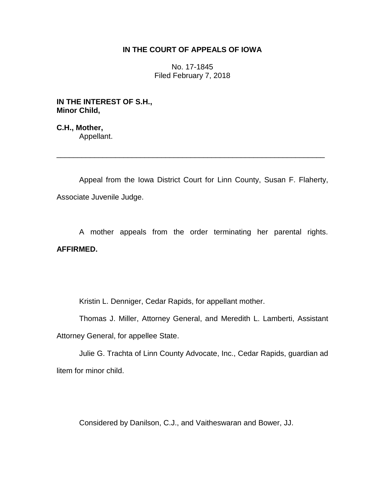## **IN THE COURT OF APPEALS OF IOWA**

No. 17-1845 Filed February 7, 2018

**IN THE INTEREST OF S.H., Minor Child,**

**C.H., Mother,** Appellant.

Appeal from the Iowa District Court for Linn County, Susan F. Flaherty, Associate Juvenile Judge.

\_\_\_\_\_\_\_\_\_\_\_\_\_\_\_\_\_\_\_\_\_\_\_\_\_\_\_\_\_\_\_\_\_\_\_\_\_\_\_\_\_\_\_\_\_\_\_\_\_\_\_\_\_\_\_\_\_\_\_\_\_\_\_\_

A mother appeals from the order terminating her parental rights. **AFFIRMED.**

Kristin L. Denniger, Cedar Rapids, for appellant mother.

Thomas J. Miller, Attorney General, and Meredith L. Lamberti, Assistant Attorney General, for appellee State.

Julie G. Trachta of Linn County Advocate, Inc., Cedar Rapids, guardian ad litem for minor child.

Considered by Danilson, C.J., and Vaitheswaran and Bower, JJ.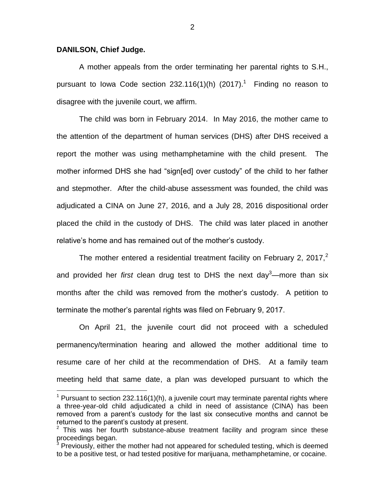## **DANILSON, Chief Judge.**

 $\overline{a}$ 

A mother appeals from the order terminating her parental rights to S.H., pursuant to lowa Code section 232.116(1)(h) (2017).<sup>1</sup> Finding no reason to disagree with the juvenile court, we affirm.

The child was born in February 2014. In May 2016, the mother came to the attention of the department of human services (DHS) after DHS received a report the mother was using methamphetamine with the child present. The mother informed DHS she had "sign[ed] over custody" of the child to her father and stepmother. After the child-abuse assessment was founded, the child was adjudicated a CINA on June 27, 2016, and a July 28, 2016 dispositional order placed the child in the custody of DHS. The child was later placed in another relative's home and has remained out of the mother's custody.

The mother entered a residential treatment facility on February 2, 2017, $2$ and provided her *first* clean drug test to DHS the next day<sup>3</sup>—more than six months after the child was removed from the mother's custody. A petition to terminate the mother's parental rights was filed on February 9, 2017.

On April 21, the juvenile court did not proceed with a scheduled permanency/termination hearing and allowed the mother additional time to resume care of her child at the recommendation of DHS. At a family team meeting held that same date, a plan was developed pursuant to which the

 $1$  Pursuant to section 232.116(1)(h), a juvenile court may terminate parental rights where a three-year-old child adjudicated a child in need of assistance (CINA) has been removed from a parent's custody for the last six consecutive months and cannot be returned to the parent's custody at present.

 $2$  This was her fourth substance-abuse treatment facility and program since these proceedings began.

 $3$  Previously, either the mother had not appeared for scheduled testing, which is deemed to be a positive test, or had tested positive for marijuana, methamphetamine, or cocaine.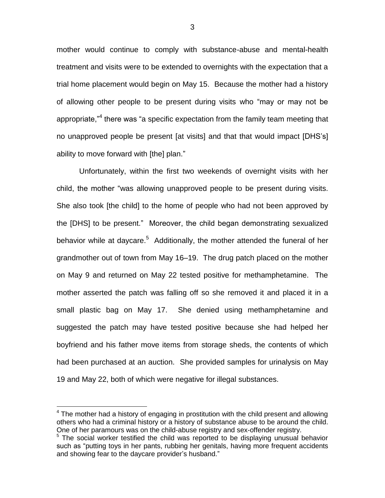mother would continue to comply with substance-abuse and mental-health treatment and visits were to be extended to overnights with the expectation that a trial home placement would begin on May 15. Because the mother had a history of allowing other people to be present during visits who "may or may not be appropriate,"<sup>4</sup> there was "a specific expectation from the family team meeting that no unapproved people be present [at visits] and that that would impact [DHS's] ability to move forward with [the] plan."

Unfortunately, within the first two weekends of overnight visits with her child, the mother "was allowing unapproved people to be present during visits. She also took [the child] to the home of people who had not been approved by the [DHS] to be present." Moreover, the child began demonstrating sexualized behavior while at daycare.<sup>5</sup> Additionally, the mother attended the funeral of her grandmother out of town from May 16–19. The drug patch placed on the mother on May 9 and returned on May 22 tested positive for methamphetamine. The mother asserted the patch was falling off so she removed it and placed it in a small plastic bag on May 17. She denied using methamphetamine and suggested the patch may have tested positive because she had helped her boyfriend and his father move items from storage sheds, the contents of which had been purchased at an auction. She provided samples for urinalysis on May 19 and May 22, both of which were negative for illegal substances.

 $\overline{a}$ 

 $4$  The mother had a history of engaging in prostitution with the child present and allowing others who had a criminal history or a history of substance abuse to be around the child. One of her paramours was on the child-abuse registry and sex-offender registry.

 $5$  The social worker testified the child was reported to be displaying unusual behavior such as "putting toys in her pants, rubbing her genitals, having more frequent accidents and showing fear to the daycare provider's husband."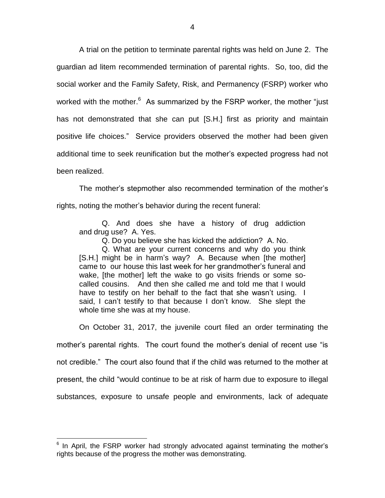A trial on the petition to terminate parental rights was held on June 2. The guardian ad litem recommended termination of parental rights. So, too, did the social worker and the Family Safety, Risk, and Permanency (FSRP) worker who worked with the mother.<sup>6</sup> As summarized by the FSRP worker, the mother "just has not demonstrated that she can put [S.H.] first as priority and maintain positive life choices." Service providers observed the mother had been given additional time to seek reunification but the mother's expected progress had not been realized.

The mother's stepmother also recommended termination of the mother's rights, noting the mother's behavior during the recent funeral:

Q. And does she have a history of drug addiction and drug use? A. Yes.

Q. Do you believe she has kicked the addiction? A. No.

Q. What are your current concerns and why do you think [S.H.] might be in harm's way? A. Because when [the mother] came to our house this last week for her grandmother's funeral and wake, [the mother] left the wake to go visits friends or some socalled cousins. And then she called me and told me that I would have to testify on her behalf to the fact that she wasn't using. I said, I can't testify to that because I don't know. She slept the whole time she was at my house.

On October 31, 2017, the juvenile court filed an order terminating the mother's parental rights. The court found the mother's denial of recent use "is not credible." The court also found that if the child was returned to the mother at present, the child "would continue to be at risk of harm due to exposure to illegal substances, exposure to unsafe people and environments, lack of adequate

 $\overline{a}$ 

 $6$  In April, the FSRP worker had strongly advocated against terminating the mother's rights because of the progress the mother was demonstrating.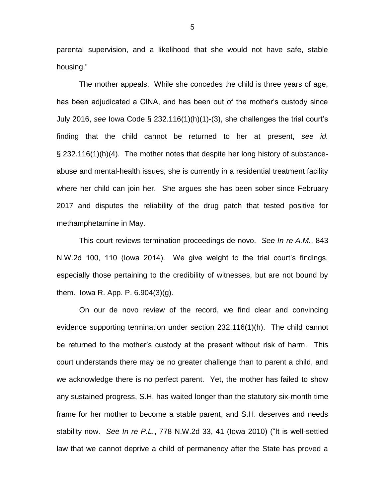parental supervision, and a likelihood that she would not have safe, stable housing."

The mother appeals. While she concedes the child is three years of age, has been adjudicated a CINA, and has been out of the mother's custody since July 2016, *see* Iowa Code § 232.116(1)(h)(1)-(3), she challenges the trial court's finding that the child cannot be returned to her at present, *see id.*  § 232.116(1)(h)(4). The mother notes that despite her long history of substanceabuse and mental-health issues, she is currently in a residential treatment facility where her child can join her. She argues she has been sober since February 2017 and disputes the reliability of the drug patch that tested positive for methamphetamine in May.

This court reviews termination proceedings de novo. *See In re A.M.*, 843 N.W.2d 100, 110 (Iowa 2014). We give weight to the trial court's findings, especially those pertaining to the credibility of witnesses, but are not bound by them. Iowa R. App. P. 6.904(3)(g).

On our de novo review of the record, we find clear and convincing evidence supporting termination under section 232.116(1)(h). The child cannot be returned to the mother's custody at the present without risk of harm. This court understands there may be no greater challenge than to parent a child, and we acknowledge there is no perfect parent. Yet, the mother has failed to show any sustained progress, S.H. has waited longer than the statutory six-month time frame for her mother to become a stable parent, and S.H. deserves and needs stability now. *See In re P.L.*, 778 N.W.2d 33, 41 (Iowa 2010) ("It is well-settled law that we cannot deprive a child of permanency after the State has proved a